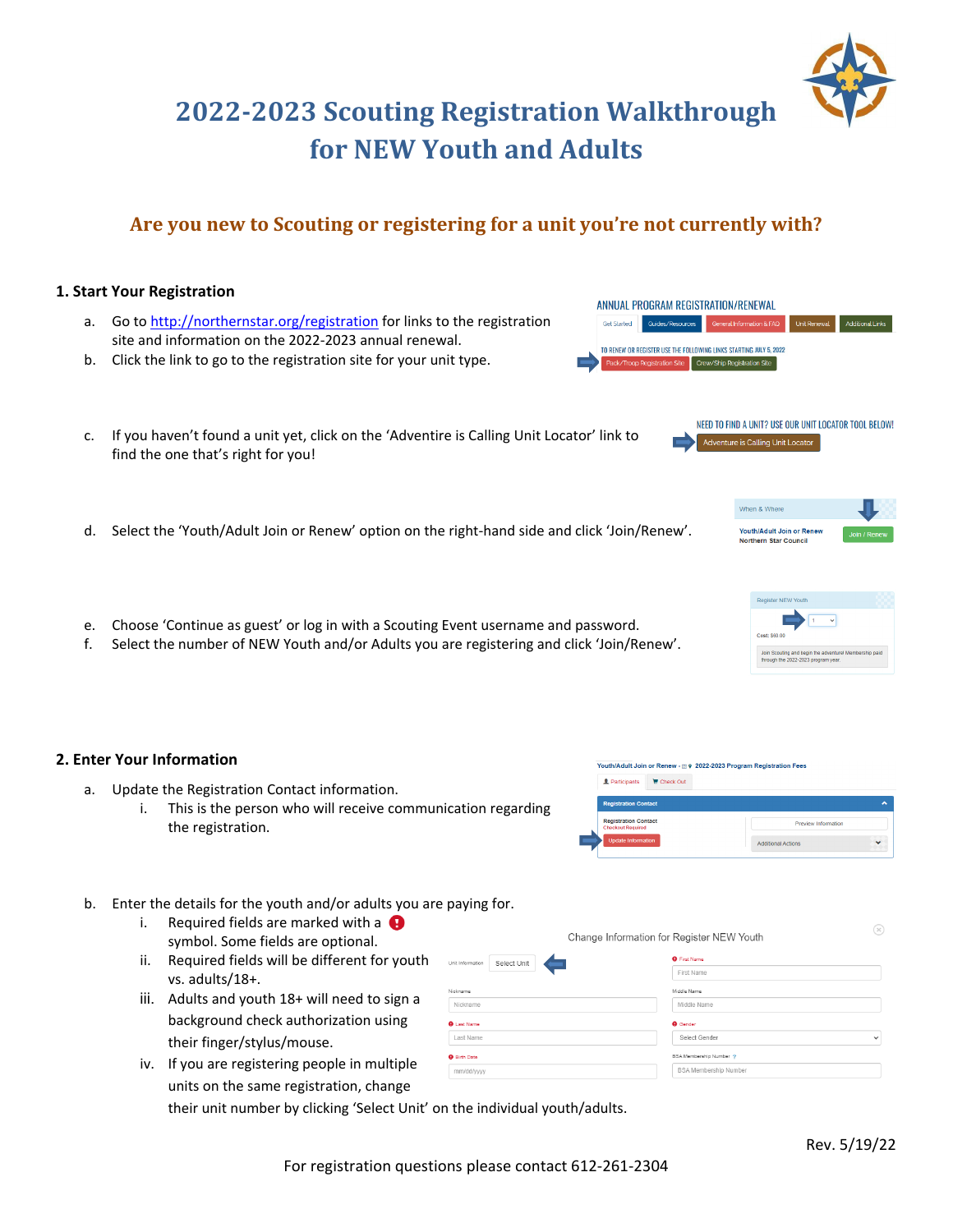# **2022‐2023 Scouting Registration Walkthrough for NEW Youth and Adults**

# **Are you new to Scouting or registering for a unit you're not currently with?**

# **1. Start Your Registration**  ANNUAL PROGRAM REGISTRATION/RENEWAL a. Go to http://northernstar.org/registration for links to the registration **Get Started** Guides/Resources General Information & FAQ Unit Renewal Additional Links site and information on the 2022‐2023 annual renewal. TO RENEW OR REGISTER USE THE FOLLOWING LINKS STARTING JULY 5, 2022 b. Click the link to go to the registration site for your unit type. Pack/Troop Registration Site Crew/Ship Registration Site NEED TO FIND A UNIT? USE OUR UNIT LOCATOR TOOL BELOW! c. If you haven't found a unit yet, click on the 'Adventire is Calling Unit Locator' link to Adventure is Calling Unit Locator find the one that's right for you! When & Where d. Select the 'Youth/Adult Join or Renew' option on the right‐hand side and click 'Join/Renew'. Youth/Adult Join or Reney Northern Star Counci e. Choose 'Continue as guest' or log in with a Scouting Event username and password. f. Select the number of NEW Youth and/or Adults you are registering and click 'Join/Renew'.

## **2. Enter Your Information**

- a. Update the Registration Contact information.
	- i. This is the person who will receive communication regarding the registration.



- b. Enter the details for the youth and/or adults you are paying for.
	- i. Required fields are marked with a  $\bigoplus$ symbol. Some fields are optional.
	- ii. Required fields will be different for youth vs. adults/18+.
	- iii. Adults and youth 18+ will need to sign a background check authorization using their finger/stylus/mouse.
	- iv. If you are registering people in multiple units on the same registration, change

their unit number by clicking 'Select Unit' on the individual youth/adults.

Unit Information Select Unit

Nickname

**O** Last Name

Last Name

**O** Birth Date mm/dd/yyyy  $\circ$ 





Change Information for Register NEW Youth **O** First Name

> First Name Middle Name

Middle Name

Select Gender **BSA Membership Number** ?

**BSA Membership Numbe** 

**O** Gender